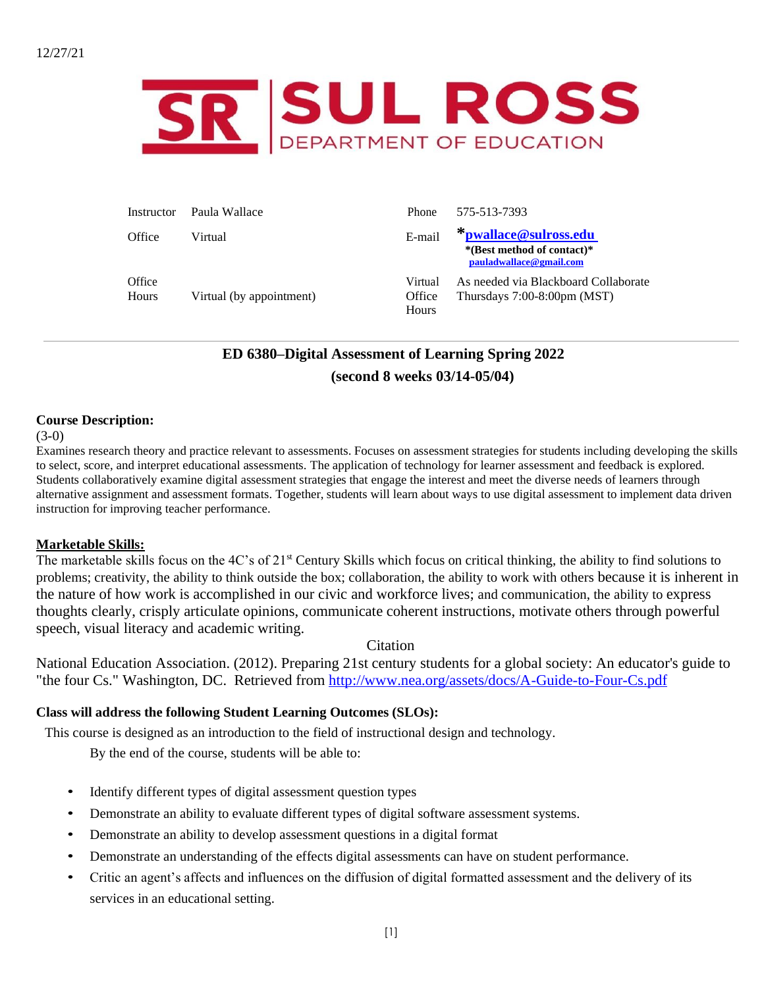

| Instructor      | Paula Wallace            | Phone                      | 575-513-7393                                                                   |
|-----------------|--------------------------|----------------------------|--------------------------------------------------------------------------------|
| Office          | Virtual                  | E-mail                     | *pwallace@sulross.edu<br>*(Best method of contact)*<br>pauladwallace@gmail.com |
| Office<br>Hours | Virtual (by appointment) | Virtual<br>Office<br>Hours | As needed via Blackboard Collaborate<br>Thursdays $7:00-8:00$ pm (MST)         |

# **ED 6380–Digital Assessment of Learning Spring 2022 (second 8 weeks 03/14-05/04)**

### **Course Description:**

#### $(3-0)$

Examines research theory and practice relevant to assessments. Focuses on assessment strategies for students including developing the skills to select, score, and interpret educational assessments. The application of technology for learner assessment and feedback is explored. Students collaboratively examine digital assessment strategies that engage the interest and meet the diverse needs of learners through alternative assignment and assessment formats. Together, students will learn about ways to use digital assessment to implement data driven instruction for improving teacher performance.

#### **Marketable Skills:**

The marketable skills focus on the  $4C$ 's of  $21<sup>st</sup>$  Century Skills which focus on critical thinking, the ability to find solutions to problems; creativity, the ability to think outside the box; collaboration, the ability to work with others because it is inherent in the nature of how work is accomplished in our civic and workforce lives; and communication, the ability to express thoughts clearly, crisply articulate opinions, communicate coherent instructions, motivate others through powerful speech, visual literacy and academic writing.

### **Citation**

National Education Association. (2012). Preparing 21st century students for a global society: An educator's guide to "the four Cs." Washington, DC. Retrieved from<http://www.nea.org/assets/docs/A-Guide-to-Four-Cs.pdf>

### **Class will address the following Student Learning Outcomes (SLOs):**

This course is designed as an introduction to the field of instructional design and technology.

By the end of the course, students will be able to:

- Identify different types of digital assessment question types
- Demonstrate an ability to evaluate different types of digital software assessment systems.
- Demonstrate an ability to develop assessment questions in a digital format
- Demonstrate an understanding of the effects digital assessments can have on student performance.
- Critic an agent's affects and influences on the diffusion of digital formatted assessment and the delivery of its services in an educational setting.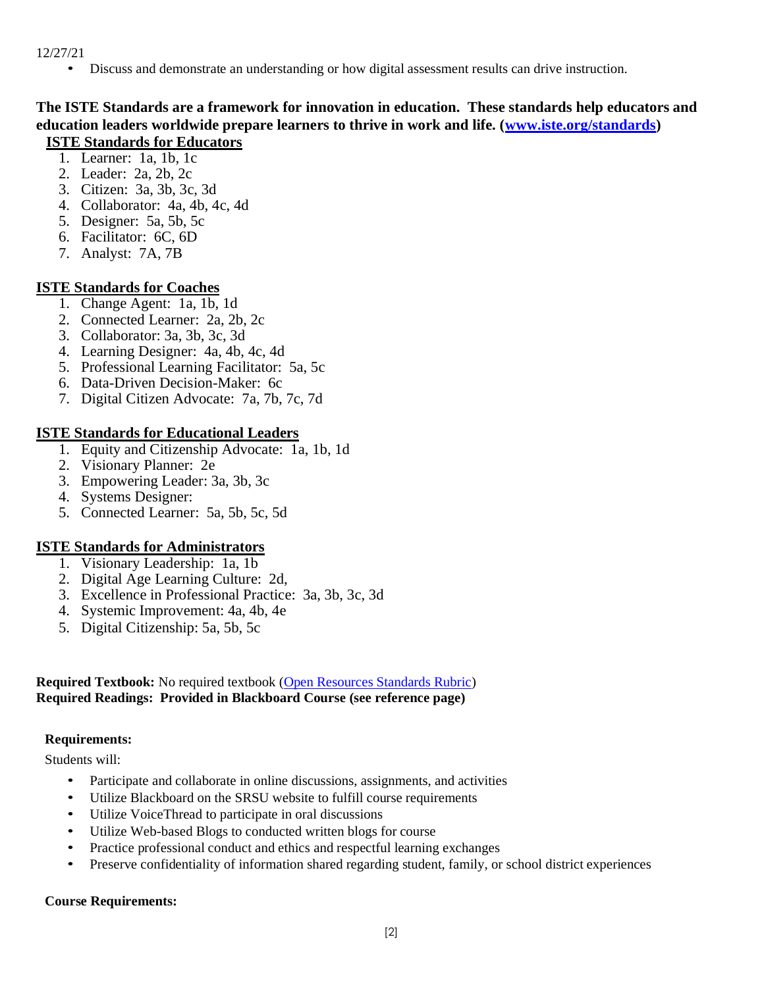#### 12/27/21

• Discuss and demonstrate an understanding or how digital assessment results can drive instruction.

### **The ISTE Standards are a framework for innovation in education. These standards help educators and education leaders worldwide prepare learners to thrive in work and life. [\(www.iste.org/standards\)](http://www.iste.org/standards) ISTE Standards for Educators**

- 1. Learner: 1a, 1b, 1c
- 2. Leader: 2a, 2b, 2c
- 3. Citizen: 3a, 3b, 3c, 3d
- 4. Collaborator: 4a, 4b, 4c, 4d
- 5. Designer: 5a, 5b, 5c
- 6. Facilitator: 6C, 6D
- 7. Analyst: 7A, 7B

# **ISTE Standards for Coaches**

- 1. Change Agent: 1a, 1b, 1d
- 2. Connected Learner: 2a, 2b, 2c
- 3. Collaborator: 3a, 3b, 3c, 3d
- 4. Learning Designer: 4a, 4b, 4c, 4d
- 5. Professional Learning Facilitator: 5a, 5c
- 6. Data-Driven Decision-Maker: 6c
- 7. Digital Citizen Advocate: 7a, 7b, 7c, 7d

## **ISTE Standards for Educational Leaders**

- 1. Equity and Citizenship Advocate: 1a, 1b, 1d
- 2. Visionary Planner: 2e
- 3. Empowering Leader: 3a, 3b, 3c
- 4. Systems Designer:
- 5. Connected Learner: 5a, 5b, 5c, 5d

# **ISTE Standards for Administrators**

- 1. Visionary Leadership: 1a, 1b
- 2. Digital Age Learning Culture: 2d,
- 3. Excellence in Professional Practice: 3a, 3b, 3c, 3d
- 4. Systemic Improvement: 4a, 4b, 4e
- 5. Digital Citizenship: 5a, 5b, 5c

### **Required Textbook:** No required textbook [\(Open Resources Standards Rubric\)](https://www.achieve.org/files/AchieveOERRubrics.pdf) **Required Readings: Provided in Blackboard Course (see reference page)**

#### **Requirements:**

Students will:

- Participate and collaborate in online discussions, assignments, and activities
- Utilize Blackboard on the SRSU website to fulfill course requirements
- Utilize VoiceThread to participate in oral discussions
- Utilize Web-based Blogs to conducted written blogs for course
- Practice professional conduct and ethics and respectful learning exchanges
- Preserve confidentiality of information shared regarding student, family, or school district experiences

### **Course Requirements:**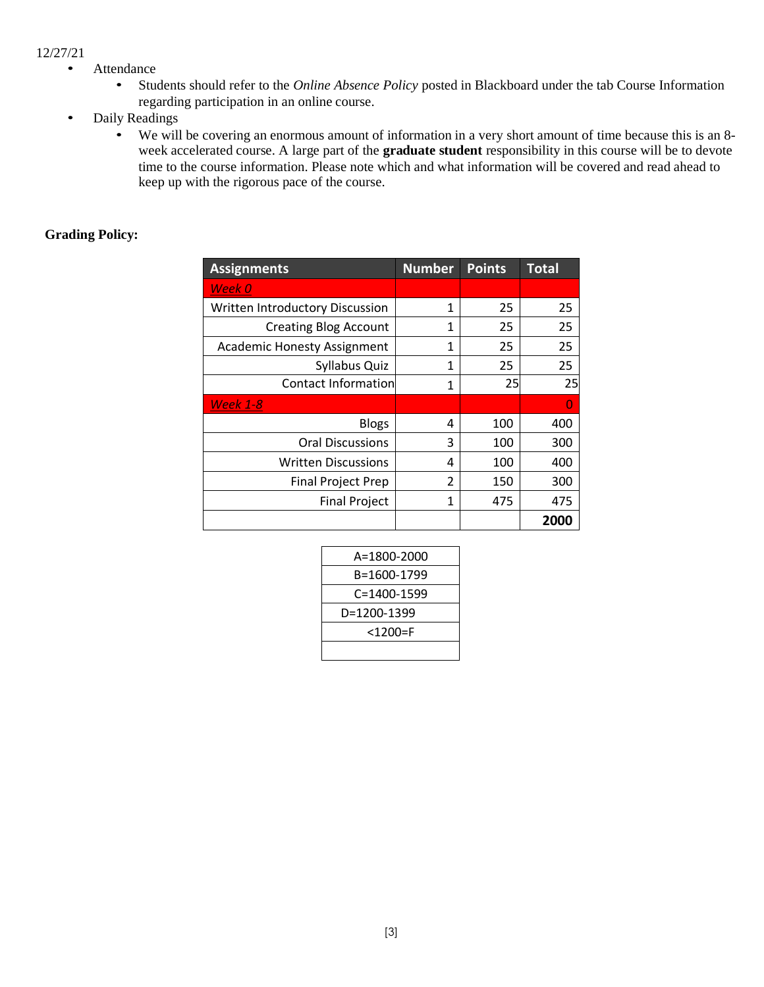#### 12/27/21

- Attendance
	- Students should refer to the *Online Absence Policy* posted in Blackboard under the tab Course Information regarding participation in an online course.
- Daily Readings
	- We will be covering an enormous amount of information in a very short amount of time because this is an 8 week accelerated course. A large part of the **graduate student** responsibility in this course will be to devote time to the course information. Please note which and what information will be covered and read ahead to keep up with the rigorous pace of the course.

### **Grading Policy:**

| <b>Assignments</b>                 | <b>Number</b>  | <b>Points</b> | <b>Total</b> |
|------------------------------------|----------------|---------------|--------------|
| Week 0                             |                |               |              |
| Written Introductory Discussion    | 1              | 25            | 25           |
| <b>Creating Blog Account</b>       | 1              | 25            | 25           |
| <b>Academic Honesty Assignment</b> | 1              | 25            | 25           |
| Syllabus Quiz                      | 1              | 25            | 25           |
| Contact Information                | 1              | 25            | 25           |
| <b>Week 1-8</b>                    |                |               | O            |
| <b>Blogs</b>                       | 4              | 100           | 400          |
| <b>Oral Discussions</b>            | 3              | 100           | 300          |
| <b>Written Discussions</b>         | 4              | 100           | 400          |
| <b>Final Project Prep</b>          | $\mathfrak{p}$ | 150           | 300          |
| <b>Final Project</b>               | 1              | 475           | 475          |
|                                    |                |               | 2000         |

| A=1800-2000 |  |  |  |  |
|-------------|--|--|--|--|
| B=1600-1799 |  |  |  |  |
| C=1400-1599 |  |  |  |  |
| D=1200-1399 |  |  |  |  |
| <1200=F     |  |  |  |  |
|             |  |  |  |  |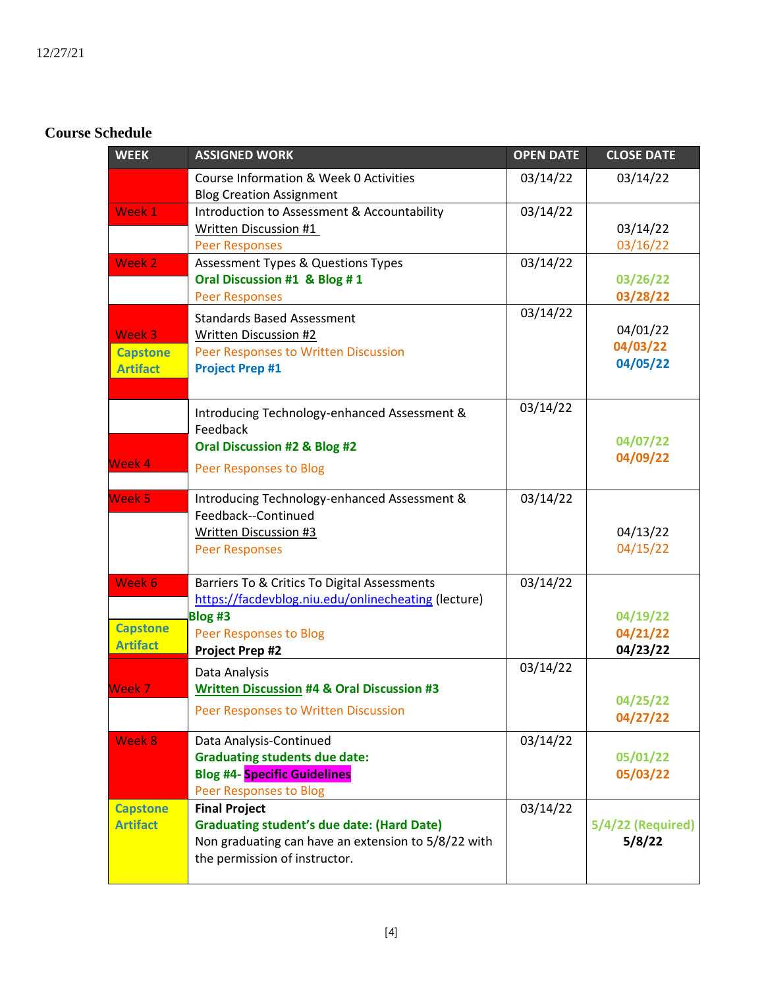# **Course Schedule**

| <b>WEEK</b>                                  | <b>ASSIGNED WORK</b>                                                                                                                                               | <b>OPEN DATE</b> | <b>CLOSE DATE</b>                |
|----------------------------------------------|--------------------------------------------------------------------------------------------------------------------------------------------------------------------|------------------|----------------------------------|
|                                              | Course Information & Week 0 Activities<br><b>Blog Creation Assignment</b>                                                                                          | 03/14/22         | 03/14/22                         |
| Week 1                                       | Introduction to Assessment & Accountability<br>Written Discussion #1<br><b>Peer Responses</b>                                                                      | 03/14/22         | 03/14/22<br>03/16/22             |
| Week 2                                       | <b>Assessment Types &amp; Questions Types</b><br>Oral Discussion #1 & Blog #1<br><b>Peer Responses</b>                                                             | 03/14/22         | 03/26/22<br>03/28/22             |
| Week 3<br><b>Capstone</b><br><b>Artifact</b> | <b>Standards Based Assessment</b><br><b>Written Discussion #2</b><br>Peer Responses to Written Discussion<br><b>Project Prep #1</b>                                | 03/14/22         | 04/01/22<br>04/03/22<br>04/05/22 |
| Week 4                                       | Introducing Technology-enhanced Assessment &<br>Feedback<br>Oral Discussion #2 & Blog #2<br>Peer Responses to Blog                                                 | 03/14/22         | 04/07/22<br>04/09/22             |
| Week 5                                       | Introducing Technology-enhanced Assessment &<br>Feedback--Continued<br><b>Written Discussion #3</b><br><b>Peer Responses</b>                                       | 03/14/22         | 04/13/22<br>04/15/22             |
| Week 6<br><b>Capstone</b><br><b>Artifact</b> | Barriers To & Critics To Digital Assessments<br>https://facdevblog.niu.edu/onlinecheating (lecture)<br>Blog #3<br>Peer Responses to Blog<br><b>Project Prep #2</b> | 03/14/22         | 04/19/22<br>04/21/22<br>04/23/22 |
| Week 7                                       | Data Analysis<br><b>Written Discussion #4 &amp; Oral Discussion #3</b><br>Peer Responses to Written Discussion                                                     | 03/14/22         | 04/25/22<br>04/27/22             |
| Week 8                                       | Data Analysis-Continued<br><b>Graduating students due date:</b><br><b>Blog #4- Specific Guidelines</b><br>Peer Responses to Blog                                   | 03/14/22         | 05/01/22<br>05/03/22             |
| <b>Capstone</b><br><b>Artifact</b>           | <b>Final Project</b><br><b>Graduating student's due date: (Hard Date)</b><br>Non graduating can have an extension to 5/8/22 with<br>the permission of instructor.  | 03/14/22         | 5/4/22 (Required)<br>5/8/22      |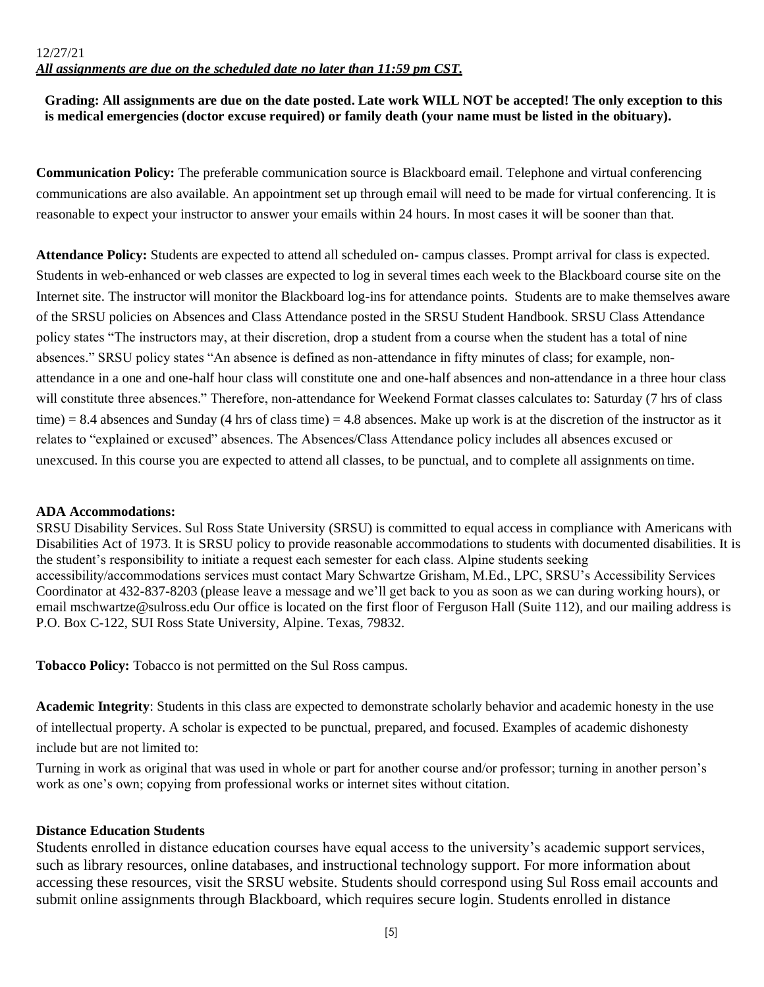## 12/27/21 *All assignments are due on the scheduled date no later than 11:59 pm CST.*

**Grading: All assignments are due on the date posted. Late work WILL NOT be accepted! The only exception to this is medical emergencies (doctor excuse required) or family death (your name must be listed in the obituary).**

**Communication Policy:** The preferable communication source is Blackboard email. Telephone and virtual conferencing communications are also available. An appointment set up through email will need to be made for virtual conferencing. It is reasonable to expect your instructor to answer your emails within 24 hours. In most cases it will be sooner than that.

**Attendance Policy:** Students are expected to attend all scheduled on- campus classes. Prompt arrival for class is expected. Students in web-enhanced or web classes are expected to log in several times each week to the Blackboard course site on the Internet site. The instructor will monitor the Blackboard log-ins for attendance points. Students are to make themselves aware of the SRSU policies on Absences and Class Attendance posted in the SRSU Student Handbook. SRSU Class Attendance policy states "The instructors may, at their discretion, drop a student from a course when the student has a total of nine absences." SRSU policy states "An absence is defined as non-attendance in fifty minutes of class; for example, nonattendance in a one and one-half hour class will constitute one and one-half absences and non-attendance in a three hour class will constitute three absences." Therefore, non-attendance for Weekend Format classes calculates to: Saturday (7 hrs of class time) = 8.4 absences and Sunday (4 hrs of class time) = 4.8 absences. Make up work is at the discretion of the instructor as it relates to "explained or excused" absences. The Absences/Class Attendance policy includes all absences excused or unexcused. In this course you are expected to attend all classes, to be punctual, and to complete all assignments on time.

### **ADA Accommodations:**

SRSU Disability Services. Sul Ross State University (SRSU) is committed to equal access in compliance with Americans with Disabilities Act of 1973. It is SRSU policy to provide reasonable accommodations to students with documented disabilities. It is the student's responsibility to initiate a request each semester for each class. Alpine students seeking accessibility/accommodations services must contact Mary Schwartze Grisham, M.Ed., LPC, SRSU's Accessibility Services Coordinator at 432-837-8203 (please leave a message and we'll get back to you as soon as we can during working hours), or email mschwartze@sulross.edu Our office is located on the first floor of Ferguson Hall (Suite 112), and our mailing address is P.O. Box C-122, SUI Ross State University, Alpine. Texas, 79832.

**Tobacco Policy:** Tobacco is not permitted on the Sul Ross campus.

**Academic Integrity**: Students in this class are expected to demonstrate scholarly behavior and academic honesty in the use of intellectual property. A scholar is expected to be punctual, prepared, and focused. Examples of academic dishonesty include but are not limited to:

Turning in work as original that was used in whole or part for another course and/or professor; turning in another person's work as one's own; copying from professional works or internet sites without citation.

### **Distance Education Students**

Students enrolled in distance education courses have equal access to the university's academic support services, such as library resources, online databases, and instructional technology support. For more information about accessing these resources, visit the SRSU website. Students should correspond using Sul Ross email accounts and submit online assignments through Blackboard, which requires secure login. Students enrolled in distance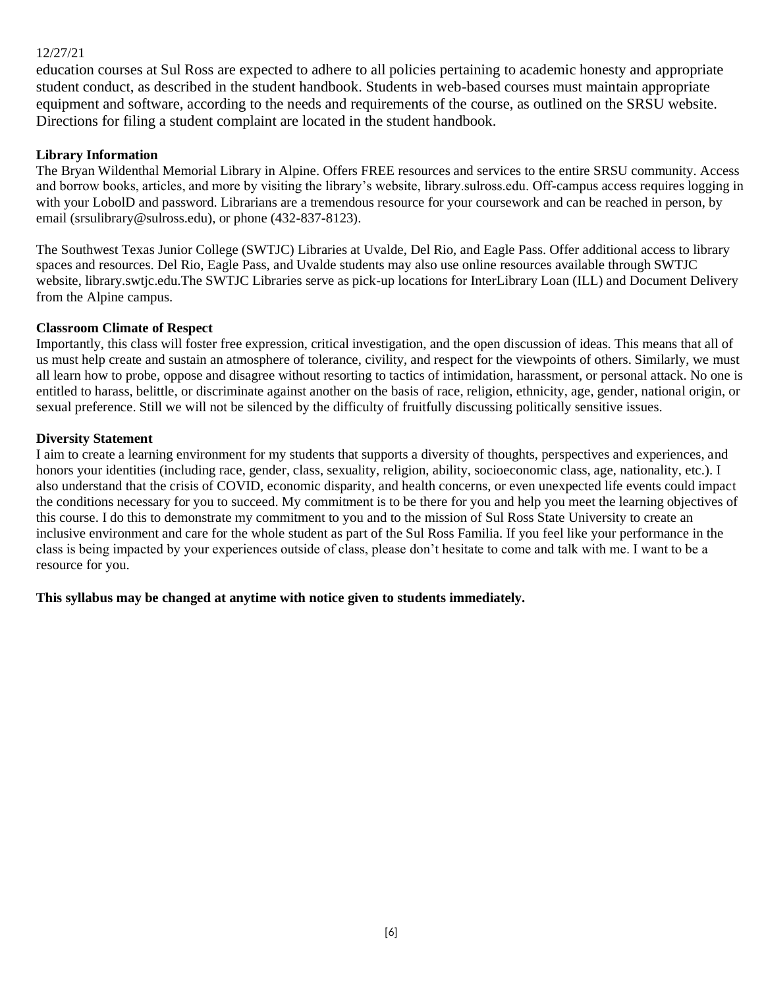### 12/27/21

education courses at Sul Ross are expected to adhere to all policies pertaining to academic honesty and appropriate student conduct, as described in the student handbook. Students in web-based courses must maintain appropriate equipment and software, according to the needs and requirements of the course, as outlined on the SRSU website. Directions for filing a student complaint are located in the student handbook.

### **Library Information**

The Bryan Wildenthal Memorial Library in Alpine. Offers FREE resources and services to the entire SRSU community. Access and borrow books, articles, and more by visiting the library's website, library.sulross.edu. Off-campus access requires logging in with your LobolD and password. Librarians are a tremendous resource for your coursework and can be reached in person, by email (srsulibrary@sulross.edu), or phone (432-837-8123).

The Southwest Texas Junior College (SWTJC) Libraries at Uvalde, Del Rio, and Eagle Pass. Offer additional access to library spaces and resources. Del Rio, Eagle Pass, and Uvalde students may also use online resources available through SWTJC website, library.swtjc.edu.The SWTJC Libraries serve as pick-up locations for InterLibrary Loan (ILL) and Document Delivery from the Alpine campus.

### **Classroom Climate of Respect**

Importantly, this class will foster free expression, critical investigation, and the open discussion of ideas. This means that all of us must help create and sustain an atmosphere of tolerance, civility, and respect for the viewpoints of others. Similarly, we must all learn how to probe, oppose and disagree without resorting to tactics of intimidation, harassment, or personal attack. No one is entitled to harass, belittle, or discriminate against another on the basis of race, religion, ethnicity, age, gender, national origin, or sexual preference. Still we will not be silenced by the difficulty of fruitfully discussing politically sensitive issues.

### **Diversity Statement**

I aim to create a learning environment for my students that supports a diversity of thoughts, perspectives and experiences, and honors your identities (including race, gender, class, sexuality, religion, ability, socioeconomic class, age, nationality, etc.). I also understand that the crisis of COVID, economic disparity, and health concerns, or even unexpected life events could impact the conditions necessary for you to succeed. My commitment is to be there for you and help you meet the learning objectives of this course. I do this to demonstrate my commitment to you and to the mission of Sul Ross State University to create an inclusive environment and care for the whole student as part of the Sul Ross Familia. If you feel like your performance in the class is being impacted by your experiences outside of class, please don't hesitate to come and talk with me. I want to be a resource for you.

### **This syllabus may be changed at anytime with notice given to students immediately.**